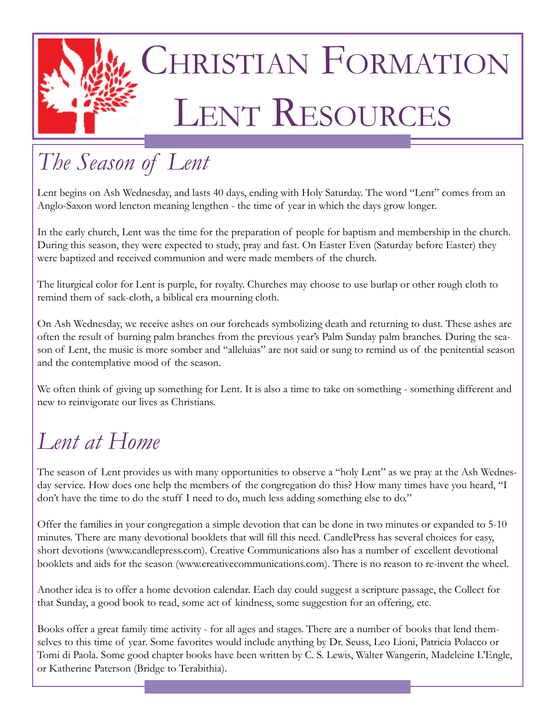

# *The Season of Lent*

Lent begins on Ash Wednesday, and lasts 40 days, ending with Holy Saturday. The word "Lent" comes from an Anglo-Saxon word lencton meaning lengthen - the time of year in which the days grow longer.

In the early church, Lent was the time for the preparation of people for baptism and membership in the church. During this season, they were expected to study, pray and fast. On Easter Even (Saturday before Easter) they were baptized and received communion and were made members of the church.

The liturgical color for Lent is purple, for royalty. Churches may choose to use burlap or other rough cloth to remind them of sack-cloth, a biblical era mourning cloth.

On Ash Wednesday, we receive ashes on our foreheads symbolizing death and returning to dust. These ashes are often the result of burning palm branches from the previous year's Palm Sunday palm branches. During the season of Lent, the music is more somber and "alleluias" are not said or sung to remind us of the penitential season and the contemplative mood of the season.

We often think of giving up something for Lent. It is also a time to take on something - something different and new to reinvigorate our lives as Christians.

## *Lent at Home*

The season of Lent provides us with many opportunities to observe a "holy Lent" as we pray at the Ash Wednesday service. How does one help the members of the congregation do this? How many times have you heard, "I don't have the time to do the stuff I need to do, much less adding something else to do."

Offer the families in your congregation a simple devotion that can be done in two minutes or expanded to 5-10 minutes. There are many devotional booklets that will fill this need. CandlePress has several choices for easy, short devotions (www.candlepress.com). Creative Communications also has a number of excellent devotional booklets and aids for the season (www.creativecommunications.com). There is no reason to re-invent the wheel.

Another idea is to offer a home devotion calendar. Each day could suggest a scripture passage, the Collect for that Sunday, a good book to read, some act of kindness, some suggestion for an offering, etc.

Books offer a great family time activity - for all ages and stages. There are a number of books that lend themselves to this time of year. Some favorites would include anything by Dr. Seuss, Leo Lioni, Patricia Polacco or Tomi di Paola. Some good chapter books have been written by C. S. Lewis, Walter Wangerin, Madeleine L'Engle, or Katherine Paterson (Bridge to Terabithia).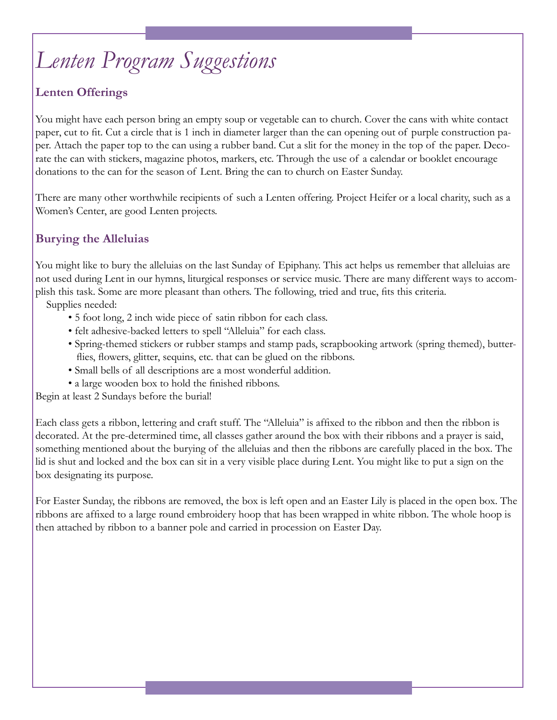# *Lenten Program Suggestions*

#### **Lenten Offerings**

You might have each person bring an empty soup or vegetable can to church. Cover the cans with white contact paper, cut to fit. Cut a circle that is 1 inch in diameter larger than the can opening out of purple construction paper. Attach the paper top to the can using a rubber band. Cut a slit for the money in the top of the paper. Decorate the can with stickers, magazine photos, markers, etc. Through the use of a calendar or booklet encourage donations to the can for the season of Lent. Bring the can to church on Easter Sunday.

There are many other worthwhile recipients of such a Lenten offering. Project Heifer or a local charity, such as a Women's Center, are good Lenten projects.

#### **Burying the Alleluias**

You might like to bury the alleluias on the last Sunday of Epiphany. This act helps us remember that alleluias are not used during Lent in our hymns, liturgical responses or service music. There are many different ways to accomplish this task. Some are more pleasant than others. The following, tried and true, fits this criteria.

Supplies needed:

- 5 foot long, 2 inch wide piece of satin ribbon for each class.
- felt adhesive-backed letters to spell "Alleluia" for each class.
- Spring-themed stickers or rubber stamps and stamp pads, scrapbooking artwork (spring themed), butter flies, flowers, glitter, sequins, etc. that can be glued on the ribbons.
- Small bells of all descriptions are a most wonderful addition.
- a large wooden box to hold the finished ribbons.

Begin at least 2 Sundays before the burial!

Each class gets a ribbon, lettering and craft stuff. The "Alleluia" is affixed to the ribbon and then the ribbon is decorated. At the pre-determined time, all classes gather around the box with their ribbons and a prayer is said, something mentioned about the burying of the alleluias and then the ribbons are carefully placed in the box. The lid is shut and locked and the box can sit in a very visible place during Lent. You might like to put a sign on the box designating its purpose.

For Easter Sunday, the ribbons are removed, the box is left open and an Easter Lily is placed in the open box. The ribbons are affixed to a large round embroidery hoop that has been wrapped in white ribbon. The whole hoop is then attached by ribbon to a banner pole and carried in procession on Easter Day.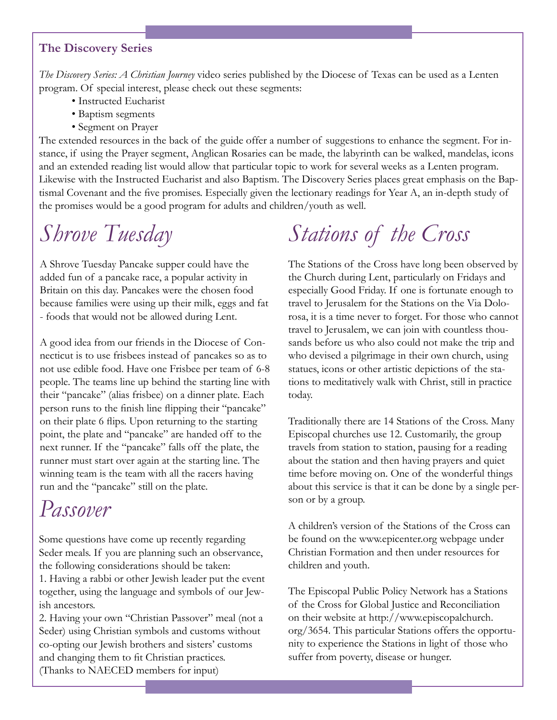#### **The Discovery Series**

*The Discovery Series: A Christian Journey* video series published by the Diocese of Texas can be used as a Lenten program. Of special interest, please check out these segments:

- Instructed Eucharist
- Baptism segments
- Segment on Prayer

The extended resources in the back of the guide offer a number of suggestions to enhance the segment. For instance, if using the Prayer segment, Anglican Rosaries can be made, the labyrinth can be walked, mandelas, icons and an extended reading list would allow that particular topic to work for several weeks as a Lenten program. Likewise with the Instructed Eucharist and also Baptism. The Discovery Series places great emphasis on the Baptismal Covenant and the five promises. Especially given the lectionary readings for Year A, an in-depth study of the promises would be a good program for adults and children/youth as well.

### *Shrove Tuesday*

A Shrove Tuesday Pancake supper could have the added fun of a pancake race, a popular activity in Britain on this day. Pancakes were the chosen food because families were using up their milk, eggs and fat - foods that would not be allowed during Lent.

A good idea from our friends in the Diocese of Connecticut is to use frisbees instead of pancakes so as to not use edible food. Have one Frisbee per team of 6-8 people. The teams line up behind the starting line with their "pancake" (alias frisbee) on a dinner plate. Each person runs to the finish line flipping their "pancake" on their plate 6 flips. Upon returning to the starting point, the plate and "pancake" are handed off to the next runner. If the "pancake" falls off the plate, the runner must start over again at the starting line. The winning team is the team with all the racers having run and the "pancake" still on the plate.

### *Passover*

Some questions have come up recently regarding Seder meals. If you are planning such an observance, the following considerations should be taken:

1. Having a rabbi or other Jewish leader put the event together, using the language and symbols of our Jewish ancestors.

2. Having your own "Christian Passover" meal (not a Seder) using Christian symbols and customs without co-opting our Jewish brothers and sisters' customs and changing them to fit Christian practices. (Thanks to NAECED members for input)

# *Stations of the Cross*

The Stations of the Cross have long been observed by the Church during Lent, particularly on Fridays and especially Good Friday. If one is fortunate enough to travel to Jerusalem for the Stations on the Via Dolorosa, it is a time never to forget. For those who cannot travel to Jerusalem, we can join with countless thousands before us who also could not make the trip and who devised a pilgrimage in their own church, using statues, icons or other artistic depictions of the stations to meditatively walk with Christ, still in practice today.

Traditionally there are 14 Stations of the Cross. Many Episcopal churches use 12. Customarily, the group travels from station to station, pausing for a reading about the station and then having prayers and quiet time before moving on. One of the wonderful things about this service is that it can be done by a single person or by a group.

A children's version of the Stations of the Cross can be found on the www.epicenter.org webpage under Christian Formation and then under resources for children and youth.

The Episcopal Public Policy Network has a Stations of the Cross for Global Justice and Reconciliation on their website at http://www.episcopalchurch. org/3654. This particular Stations offers the opportunity to experience the Stations in light of those who suffer from poverty, disease or hunger.